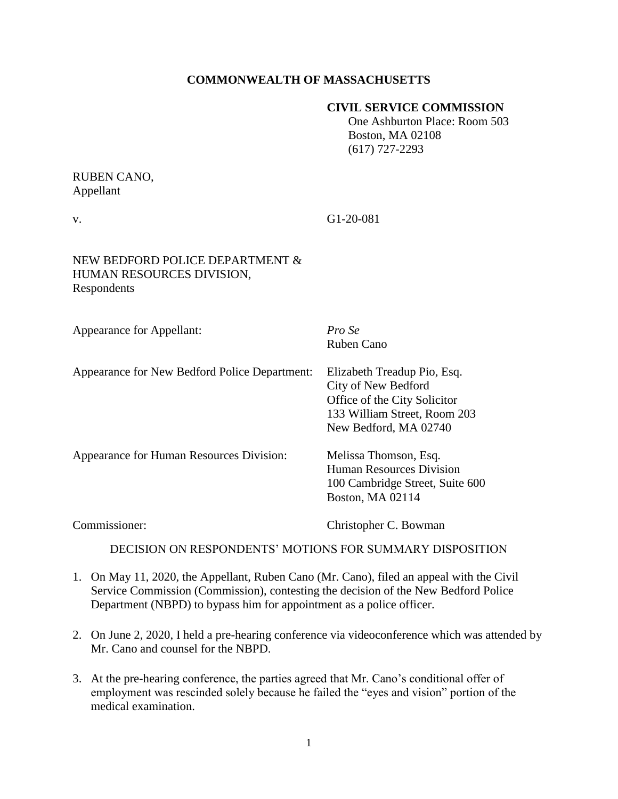## **COMMONWEALTH OF MASSACHUSETTS**

#### **CIVIL SERVICE COMMISSION**

 One Ashburton Place: Room 503 Boston, MA 02108 (617) 727-2293

# RUBEN CANO, Appellant

v. G1-20-081

## NEW BEDFORD POLICE DEPARTMENT & HUMAN RESOURCES DIVISION, Respondents

Appearance for Appellant: *Pro Se*

Ruben Cano

| Appearance for New Bedford Police Department: | Elizabeth Treadup Pio, Esq.                           |
|-----------------------------------------------|-------------------------------------------------------|
|                                               | City of New Bedford                                   |
|                                               | Office of the City Solicitor                          |
|                                               | 133 William Street, Room 203<br>New Bedford, MA 02740 |
|                                               |                                                       |
| <b>Human Resources Division</b>               |                                                       |
| 100 Cambridge Street, Suite 600               |                                                       |
| Boston, MA 02114                              |                                                       |
|                                               |                                                       |

Commissioner: Christopher C. Bowman

DECISION ON RESPONDENTS' MOTIONS FOR SUMMARY DISPOSITION

- 1. On May 11, 2020, the Appellant, Ruben Cano (Mr. Cano), filed an appeal with the Civil Service Commission (Commission), contesting the decision of the New Bedford Police Department (NBPD) to bypass him for appointment as a police officer.
- 2. On June 2, 2020, I held a pre-hearing conference via videoconference which was attended by Mr. Cano and counsel for the NBPD.
- 3. At the pre-hearing conference, the parties agreed that Mr. Cano's conditional offer of employment was rescinded solely because he failed the "eyes and vision" portion of the medical examination.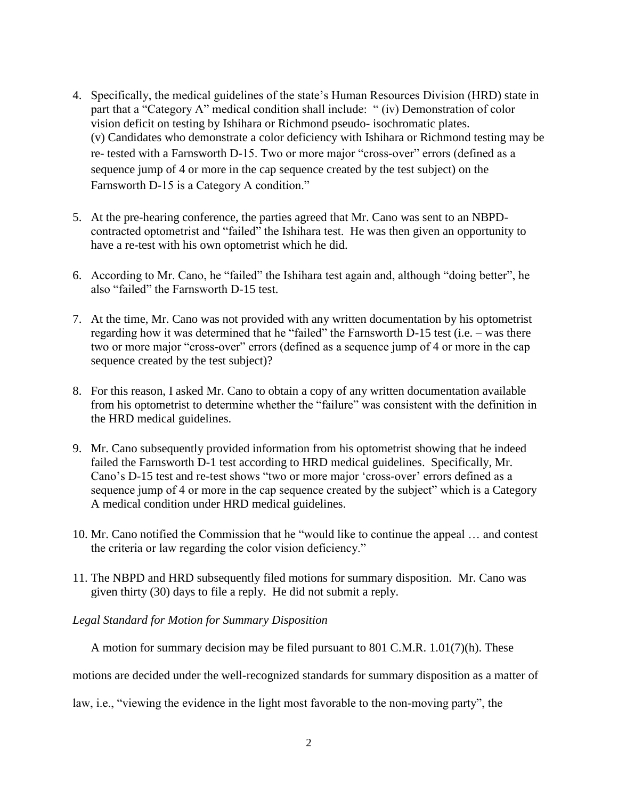- 4. Specifically, the medical guidelines of the state's Human Resources Division (HRD) state in part that a "Category A" medical condition shall include: " (iv) Demonstration of color vision deficit on testing by Ishihara or Richmond pseudo- isochromatic plates. (v) Candidates who demonstrate a color deficiency with Ishihara or Richmond testing may be re- tested with a Farnsworth D-15. Two or more major "cross-over" errors (defined as a sequence jump of 4 or more in the cap sequence created by the test subject) on the Farnsworth D-15 is a Category A condition."
- 5. At the pre-hearing conference, the parties agreed that Mr. Cano was sent to an NBPDcontracted optometrist and "failed" the Ishihara test. He was then given an opportunity to have a re-test with his own optometrist which he did.
- 6. According to Mr. Cano, he "failed" the Ishihara test again and, although "doing better", he also "failed" the Farnsworth D-15 test.
- 7. At the time, Mr. Cano was not provided with any written documentation by his optometrist regarding how it was determined that he "failed" the Farnsworth D-15 test (i.e. – was there two or more major "cross-over" errors (defined as a sequence jump of 4 or more in the cap sequence created by the test subject)?
- 8. For this reason, I asked Mr. Cano to obtain a copy of any written documentation available from his optometrist to determine whether the "failure" was consistent with the definition in the HRD medical guidelines.
- 9. Mr. Cano subsequently provided information from his optometrist showing that he indeed failed the Farnsworth D-1 test according to HRD medical guidelines. Specifically, Mr. Cano's D-15 test and re-test shows "two or more major 'cross-over' errors defined as a sequence jump of 4 or more in the cap sequence created by the subject" which is a Category A medical condition under HRD medical guidelines.
- 10. Mr. Cano notified the Commission that he "would like to continue the appeal … and contest the criteria or law regarding the color vision deficiency."
- 11. The NBPD and HRD subsequently filed motions for summary disposition. Mr. Cano was given thirty (30) days to file a reply. He did not submit a reply.
- *Legal Standard for Motion for Summary Disposition*

A motion for summary decision may be filed pursuant to 801 C.M.R. 1.01(7)(h). These

motions are decided under the well-recognized standards for summary disposition as a matter of

law, i.e., "viewing the evidence in the light most favorable to the non-moving party", the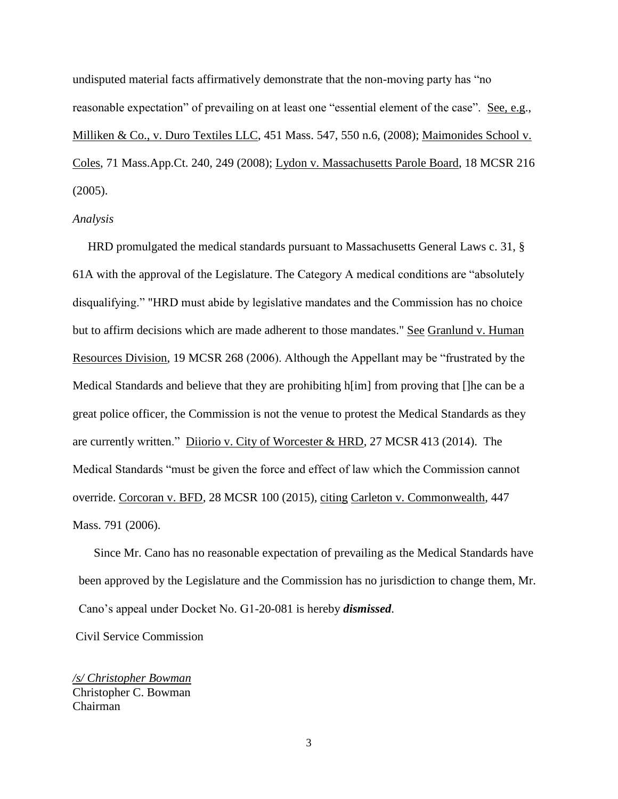undisputed material facts affirmatively demonstrate that the non-moving party has "no reasonable expectation" of prevailing on at least one "essential element of the case". See, e.g., Milliken & Co., v. Duro Textiles LLC, 451 Mass. 547, 550 n.6, (2008); Maimonides School v. Coles, 71 Mass.App.Ct. 240, 249 (2008); Lydon v. Massachusetts Parole Board, 18 MCSR 216 (2005).

#### *Analysis*

 HRD promulgated the medical standards pursuant to Massachusetts General Laws c. 31, § 61A with the approval of the Legislature. The Category A medical conditions are "absolutely disqualifying." "HRD must abide by legislative mandates and the Commission has no choice but to affirm decisions which are made adherent to those mandates." See Granlund v. Human Resources Division, 19 MCSR 268 (2006). Although the Appellant may be "frustrated by the Medical Standards and believe that they are prohibiting h[im] from proving that []he can be a great police officer, the Commission is not the venue to protest the Medical Standards as they are currently written." Diiorio v. City of Worcester & HRD, 27 MCSR 413 (2014). The Medical Standards "must be given the force and effect of law which the Commission cannot override. Corcoran v. BFD*,* 28 MCSR 100 (2015)*,* citing Carleton v. Commonwealth*,* 447 Mass. 791 (2006).

 Since Mr. Cano has no reasonable expectation of prevailing as the Medical Standards have been approved by the Legislature and the Commission has no jurisdiction to change them, Mr. Cano's appeal under Docket No. G1-20-081 is hereby *dismissed*.

Civil Service Commission

*/s/ Christopher Bowman* Christopher C. Bowman Chairman